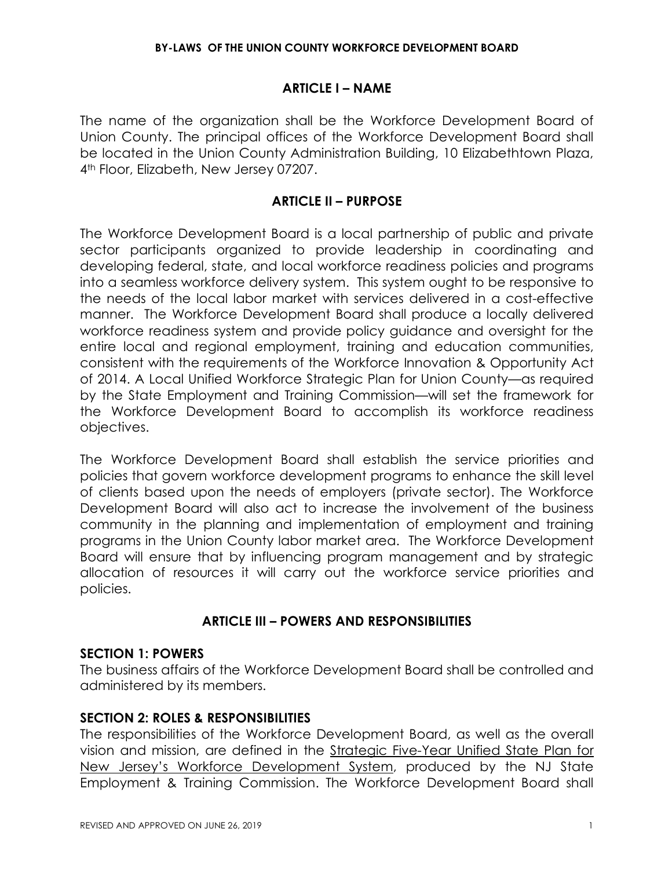#### **ARTICLE I – NAME**

The name of the organization shall be the Workforce Development Board of Union County. The principal offices of the Workforce Development Board shall be located in the Union County Administration Building, 10 Elizabethtown Plaza, 4th Floor, Elizabeth, New Jersey 07207.

#### **ARTICLE II – PURPOSE**

The Workforce Development Board is a local partnership of public and private sector participants organized to provide leadership in coordinating and developing federal, state, and local workforce readiness policies and programs into a seamless workforce delivery system. This system ought to be responsive to the needs of the local labor market with services delivered in a cost-effective manner. The Workforce Development Board shall produce a locally delivered workforce readiness system and provide policy guidance and oversight for the entire local and regional employment, training and education communities, consistent with the requirements of the Workforce Innovation & Opportunity Act of 2014. A Local Unified Workforce Strategic Plan for Union County—as required by the State Employment and Training Commission—will set the framework for the Workforce Development Board to accomplish its workforce readiness objectives.

The Workforce Development Board shall establish the service priorities and policies that govern workforce development programs to enhance the skill level of clients based upon the needs of employers (private sector). The Workforce Development Board will also act to increase the involvement of the business community in the planning and implementation of employment and training programs in the Union County labor market area. The Workforce Development Board will ensure that by influencing program management and by strategic allocation of resources it will carry out the workforce service priorities and policies.

## **ARTICLE III – POWERS AND RESPONSIBILITIES**

#### **SECTION 1: POWERS**

The business affairs of the Workforce Development Board shall be controlled and administered by its members.

## **SECTION 2: ROLES & RESPONSIBILITIES**

The responsibilities of the Workforce Development Board, as well as the overall vision and mission, are defined in the Strategic Five-Year Unified State Plan for New Jersey's Workforce Development System, produced by the NJ State Employment & Training Commission. The Workforce Development Board shall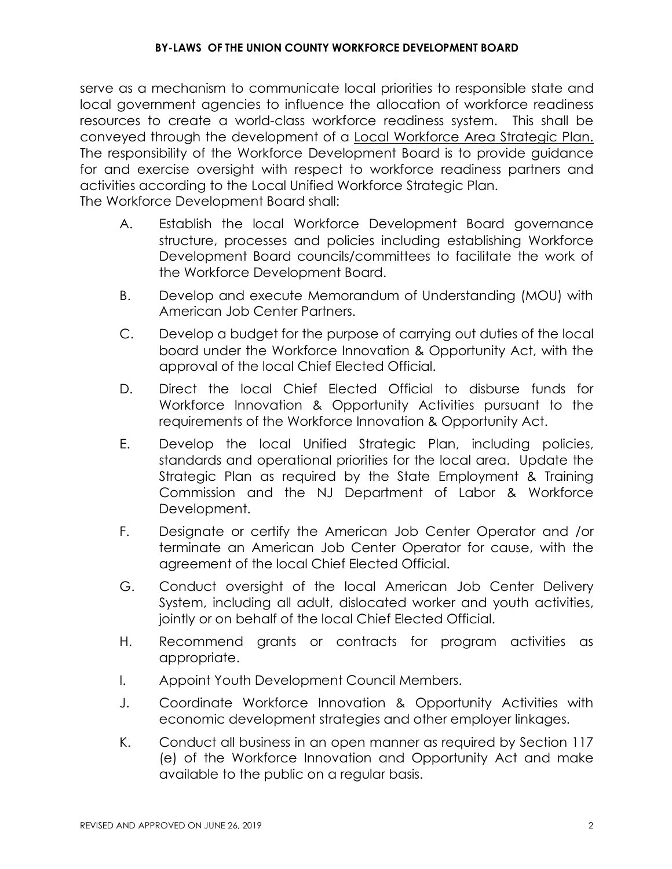serve as a mechanism to communicate local priorities to responsible state and local government agencies to influence the allocation of workforce readiness resources to create a world-class workforce readiness system. This shall be conveyed through the development of a Local Workforce Area Strategic Plan. The responsibility of the Workforce Development Board is to provide guidance for and exercise oversight with respect to workforce readiness partners and activities according to the Local Unified Workforce Strategic Plan. The Workforce Development Board shall:

- A. Establish the local Workforce Development Board governance structure, processes and policies including establishing Workforce Development Board councils/committees to facilitate the work of the Workforce Development Board.
- B. Develop and execute Memorandum of Understanding (MOU) with American Job Center Partners.
- C. Develop a budget for the purpose of carrying out duties of the local board under the Workforce Innovation & Opportunity Act, with the approval of the local Chief Elected Official.
- D. Direct the local Chief Elected Official to disburse funds for Workforce Innovation & Opportunity Activities pursuant to the requirements of the Workforce Innovation & Opportunity Act.
- E. Develop the local Unified Strategic Plan, including policies, standards and operational priorities for the local area. Update the Strategic Plan as required by the State Employment & Training Commission and the NJ Department of Labor & Workforce Development.
- F. Designate or certify the American Job Center Operator and /or terminate an American Job Center Operator for cause, with the agreement of the local Chief Elected Official.
- G. Conduct oversight of the local American Job Center Delivery System, including all adult, dislocated worker and youth activities, jointly or on behalf of the local Chief Elected Official.
- H. Recommend grants or contracts for program activities as appropriate.
- I. Appoint Youth Development Council Members.
- J. Coordinate Workforce Innovation & Opportunity Activities with economic development strategies and other employer linkages.
- K. Conduct all business in an open manner as required by Section 117 (e) of the Workforce Innovation and Opportunity Act and make available to the public on a regular basis.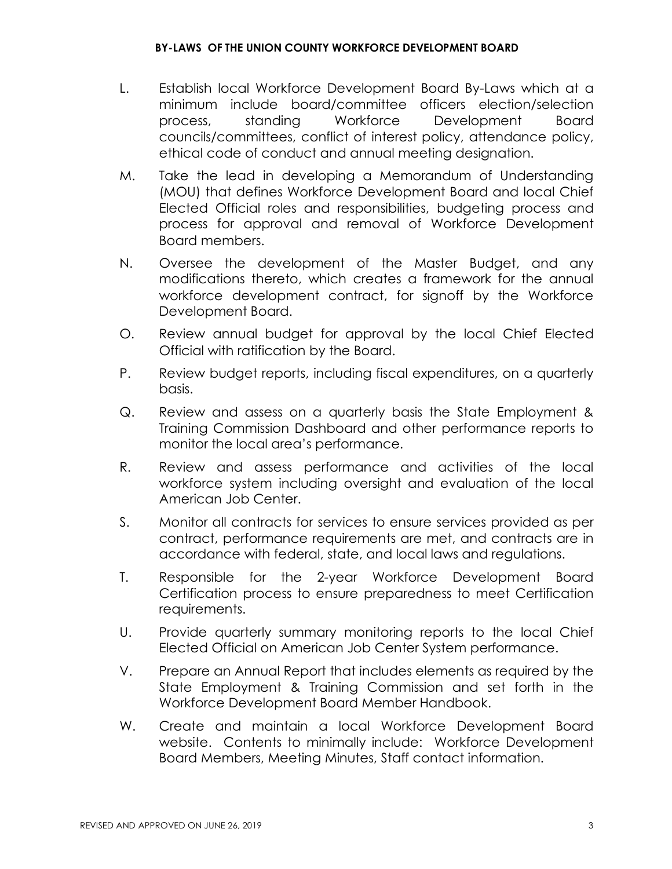- L. Establish local Workforce Development Board By-Laws which at a minimum include board/committee officers election/selection process, standing Workforce Development Board councils/committees, conflict of interest policy, attendance policy, ethical code of conduct and annual meeting designation.
- M. Take the lead in developing a Memorandum of Understanding (MOU) that defines Workforce Development Board and local Chief Elected Official roles and responsibilities, budgeting process and process for approval and removal of Workforce Development Board members.
- N. Oversee the development of the Master Budget, and any modifications thereto, which creates a framework for the annual workforce development contract, for signoff by the Workforce Development Board.
- O. Review annual budget for approval by the local Chief Elected Official with ratification by the Board.
- P. Review budget reports, including fiscal expenditures, on a quarterly basis.
- Q. Review and assess on a quarterly basis the State Employment & Training Commission Dashboard and other performance reports to monitor the local area's performance.
- R. Review and assess performance and activities of the local workforce system including oversight and evaluation of the local American Job Center.
- S. Monitor all contracts for services to ensure services provided as per contract, performance requirements are met, and contracts are in accordance with federal, state, and local laws and regulations.
- T. Responsible for the 2-year Workforce Development Board Certification process to ensure preparedness to meet Certification requirements.
- U. Provide quarterly summary monitoring reports to the local Chief Elected Official on American Job Center System performance.
- V. Prepare an Annual Report that includes elements as required by the State Employment & Training Commission and set forth in the Workforce Development Board Member Handbook.
- W. Create and maintain a local Workforce Development Board website. Contents to minimally include: Workforce Development Board Members, Meeting Minutes, Staff contact information.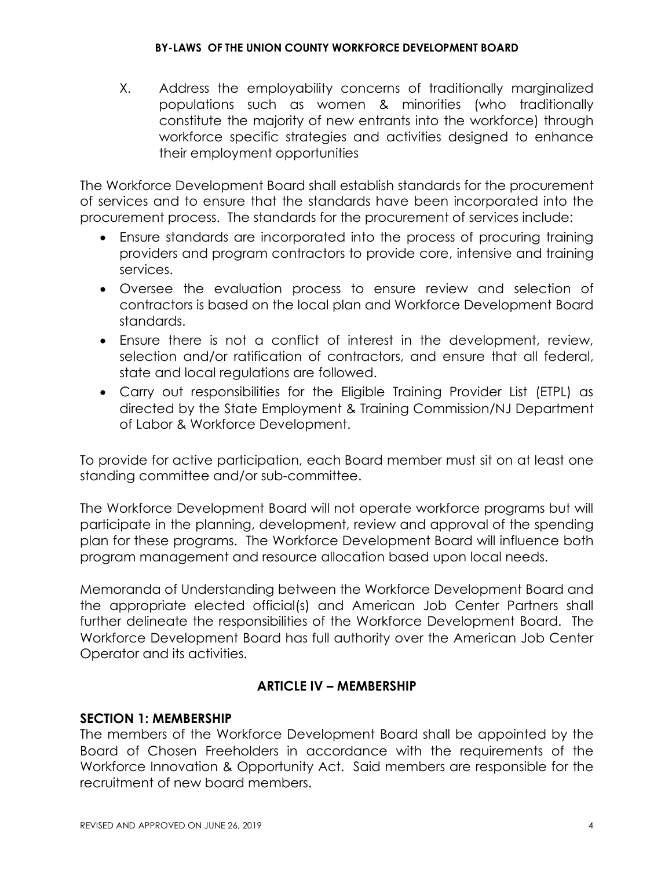#### **BY-LAWS OF THE UNION COUNTY WORKFORCE DEVELOPMENT BOARD**

X. Address the employability concerns of traditionally marginalized populations such as women & minorities (who traditionally constitute the majority of new entrants into the workforce) through workforce specific strategies and activities designed to enhance their employment opportunities

The Workforce Development Board shall establish standards for the procurement of services and to ensure that the standards have been incorporated into the procurement process. The standards for the procurement of services include:

- Ensure standards are incorporated into the process of procuring training providers and program contractors to provide core, intensive and training services.
- Oversee the evaluation process to ensure review and selection of contractors is based on the local plan and Workforce Development Board standards.
- Ensure there is not a conflict of interest in the development, review, selection and/or ratification of contractors, and ensure that all federal, state and local regulations are followed.
- Carry out responsibilities for the Eligible Training Provider List (ETPL) as directed by the State Employment & Training Commission/NJ Department of Labor & Workforce Development.

To provide for active participation, each Board member must sit on at least one standing committee and/or sub-committee.

The Workforce Development Board will not operate workforce programs but will participate in the planning, development, review and approval of the spending plan for these programs. The Workforce Development Board will influence both program management and resource allocation based upon local needs.

Memoranda of Understanding between the Workforce Development Board and the appropriate elected official(s) and American Job Center Partners shall further delineate the responsibilities of the Workforce Development Board. The Workforce Development Board has full authority over the American Job Center Operator and its activities.

## **ARTICLE IV – MEMBERSHIP**

## **SECTION 1: MEMBERSHIP**

The members of the Workforce Development Board shall be appointed by the Board of Chosen Freeholders in accordance with the requirements of the Workforce Innovation & Opportunity Act. Said members are responsible for the recruitment of new board members.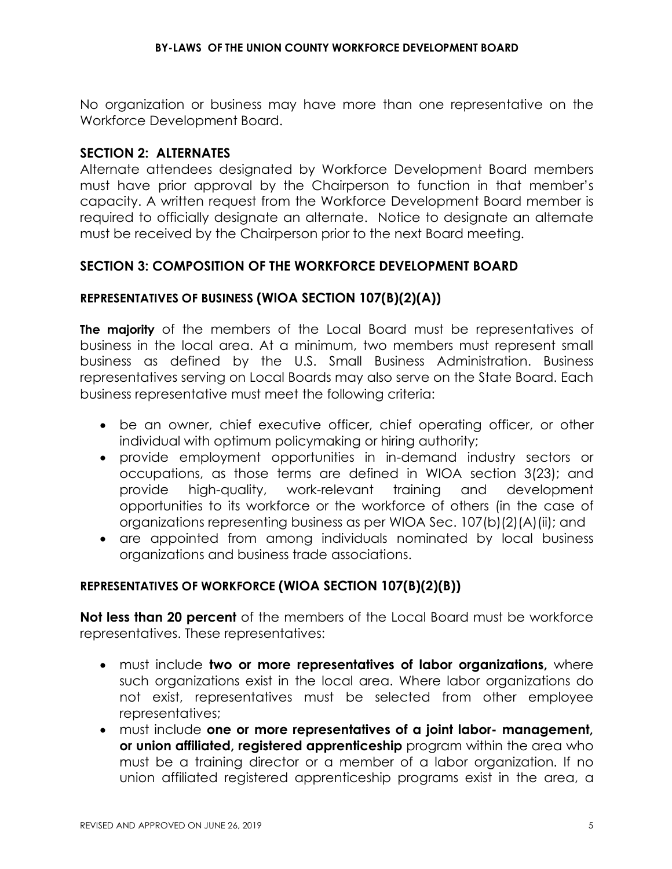No organization or business may have more than one representative on the Workforce Development Board.

### **SECTION 2: ALTERNATES**

Alternate attendees designated by Workforce Development Board members must have prior approval by the Chairperson to function in that member's capacity. A written request from the Workforce Development Board member is required to officially designate an alternate. Notice to designate an alternate must be received by the Chairperson prior to the next Board meeting.

### **SECTION 3: COMPOSITION OF THE WORKFORCE DEVELOPMENT BOARD**

#### **REPRESENTATIVES OF BUSINESS (WIOA SECTION 107(B)(2)(A))**

**The majority** of the members of the Local Board must be representatives of business in the local area. At a minimum, two members must represent small business as defined by the U.S. Small Business Administration. Business representatives serving on Local Boards may also serve on the State Board. Each business representative must meet the following criteria:

- be an owner, chief executive officer, chief operating officer, or other individual with optimum policymaking or hiring authority;
- provide employment opportunities in in-demand industry sectors or occupations, as those terms are defined in WIOA section 3(23); and provide high-quality, work-relevant training and development opportunities to its workforce or the workforce of others (in the case of organizations representing business as per WIOA Sec. 107(b)(2)(A)(ii); and
- are appointed from among individuals nominated by local business organizations and business trade associations.

#### **REPRESENTATIVES OF WORKFORCE (WIOA SECTION 107(B)(2)(B))**

**Not less than 20 percent** of the members of the Local Board must be workforce representatives. These representatives:

- must include **two or more representatives of labor organizations,** where such organizations exist in the local area. Where labor organizations do not exist, representatives must be selected from other employee representatives;
- must include **one or more representatives of a joint labor- management, or union affiliated, registered apprenticeship** program within the area who must be a training director or a member of a labor organization. If no union affiliated registered apprenticeship programs exist in the area, a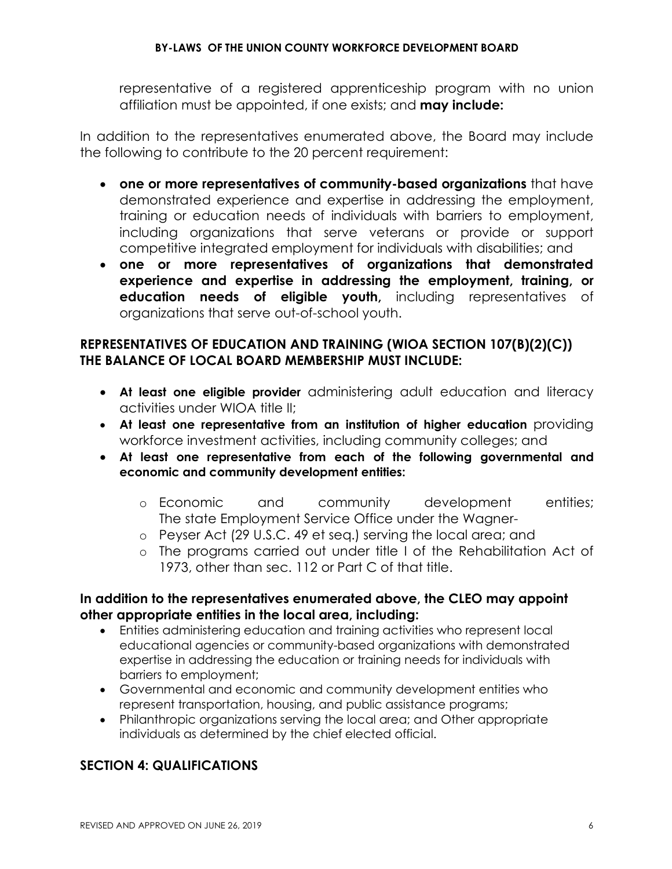representative of a registered apprenticeship program with no union affiliation must be appointed, if one exists; and **may include:** 

In addition to the representatives enumerated above, the Board may include the following to contribute to the 20 percent requirement:

- **one or more representatives of community-based organizations** that have demonstrated experience and expertise in addressing the employment, training or education needs of individuals with barriers to employment, including organizations that serve veterans or provide or support competitive integrated employment for individuals with disabilities; and
- **one or more representatives of organizations that demonstrated experience and expertise in addressing the employment, training, or education needs of eligible youth,** including representatives of organizations that serve out-of-school youth.

# **REPRESENTATIVES OF EDUCATION AND TRAINING (WIOA SECTION 107(B)(2)(C)) THE BALANCE OF LOCAL BOARD MEMBERSHIP MUST INCLUDE:**

- **At least one eligible provider** administering adult education and literacy activities under WIOA title II;
- **At least one representative from an institution of higher education** providing workforce investment activities, including community colleges; and
- **At least one representative from each of the following governmental and economic and community development entities:** 
	- o Economic and community development entities; The state Employment Service Office under the Wagner-
	- o Peyser Act (29 U.S.C. 49 et seq.) serving the local area; and
	- o The programs carried out under title I of the Rehabilitation Act of 1973, other than sec. 112 or Part C of that title.

### **In addition to the representatives enumerated above, the CLEO may appoint other appropriate entities in the local area, including:**

- Entities administering education and training activities who represent local educational agencies or community-based organizations with demonstrated expertise in addressing the education or training needs for individuals with barriers to employment;
- Governmental and economic and community development entities who represent transportation, housing, and public assistance programs;
- Philanthropic organizations serving the local area; and Other appropriate individuals as determined by the chief elected official.

# **SECTION 4: QUALIFICATIONS**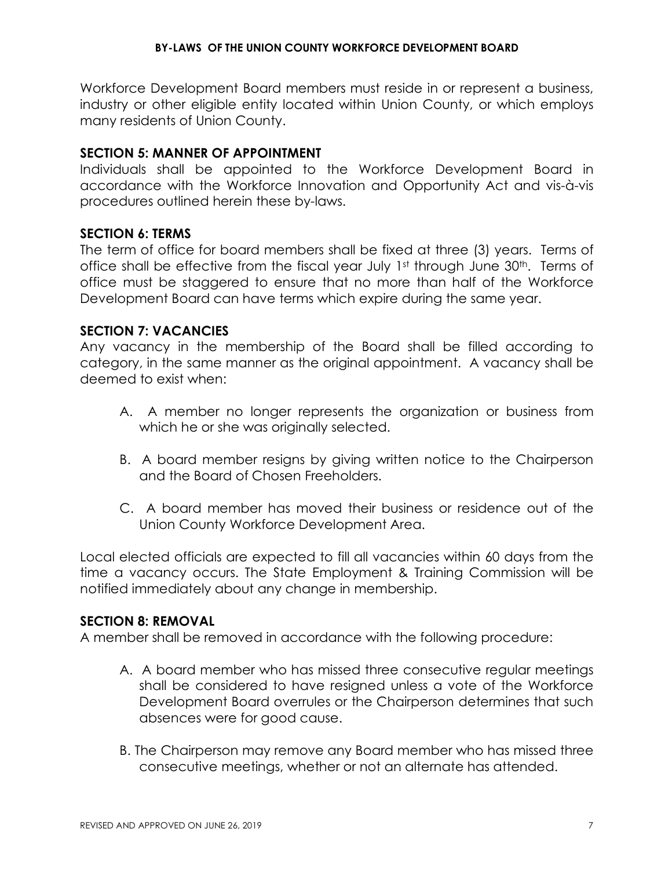Workforce Development Board members must reside in or represent a business, industry or other eligible entity located within Union County, or which employs many residents of Union County.

### **SECTION 5: MANNER OF APPOINTMENT**

Individuals shall be appointed to the Workforce Development Board in accordance with the Workforce Innovation and Opportunity Act and vis-à-vis procedures outlined herein these by-laws.

### **SECTION 6: TERMS**

The term of office for board members shall be fixed at three (3) years. Terms of office shall be effective from the fiscal year July 1st through June 30<sup>th</sup>. Terms of office must be staggered to ensure that no more than half of the Workforce Development Board can have terms which expire during the same year.

### **SECTION 7: VACANCIES**

Any vacancy in the membership of the Board shall be filled according to category, in the same manner as the original appointment. A vacancy shall be deemed to exist when:

- A. A member no longer represents the organization or business from which he or she was originally selected.
- B. A board member resigns by giving written notice to the Chairperson and the Board of Chosen Freeholders.
- C. A board member has moved their business or residence out of the Union County Workforce Development Area.

Local elected officials are expected to fill all vacancies within 60 days from the time a vacancy occurs. The State Employment & Training Commission will be notified immediately about any change in membership.

## **SECTION 8: REMOVAL**

A member shall be removed in accordance with the following procedure:

- A. A board member who has missed three consecutive regular meetings shall be considered to have resigned unless a vote of the Workforce Development Board overrules or the Chairperson determines that such absences were for good cause.
- B. The Chairperson may remove any Board member who has missed three consecutive meetings, whether or not an alternate has attended.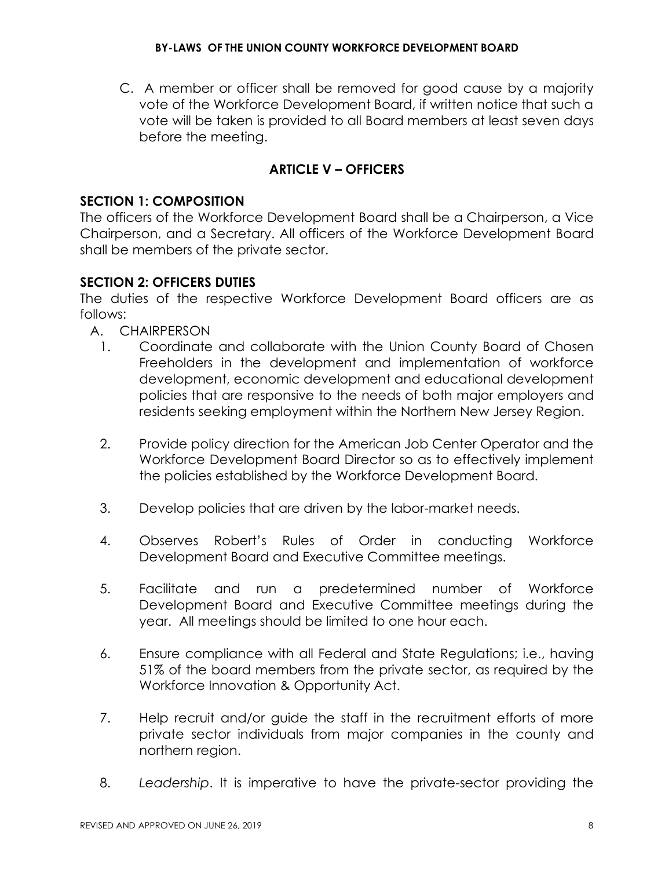C. A member or officer shall be removed for good cause by a majority vote of the Workforce Development Board, if written notice that such a vote will be taken is provided to all Board members at least seven days before the meeting.

# **ARTICLE V – OFFICERS**

### **SECTION 1: COMPOSITION**

The officers of the Workforce Development Board shall be a Chairperson, a Vice Chairperson, and a Secretary. All officers of the Workforce Development Board shall be members of the private sector.

## **SECTION 2: OFFICERS DUTIES**

The duties of the respective Workforce Development Board officers are as follows:

- A. CHAIRPERSON
	- 1. Coordinate and collaborate with the Union County Board of Chosen Freeholders in the development and implementation of workforce development, economic development and educational development policies that are responsive to the needs of both major employers and residents seeking employment within the Northern New Jersey Region.
	- 2. Provide policy direction for the American Job Center Operator and the Workforce Development Board Director so as to effectively implement the policies established by the Workforce Development Board.
	- 3. Develop policies that are driven by the labor-market needs.
	- 4. Observes Robert's Rules of Order in conducting Workforce Development Board and Executive Committee meetings.
	- 5. Facilitate and run a predetermined number of Workforce Development Board and Executive Committee meetings during the year. All meetings should be limited to one hour each.
	- 6. Ensure compliance with all Federal and State Regulations; i.e., having 51% of the board members from the private sector, as required by the Workforce Innovation & Opportunity Act.
	- 7. Help recruit and/or guide the staff in the recruitment efforts of more private sector individuals from major companies in the county and northern region.
	- 8. *Leadership*. It is imperative to have the private-sector providing the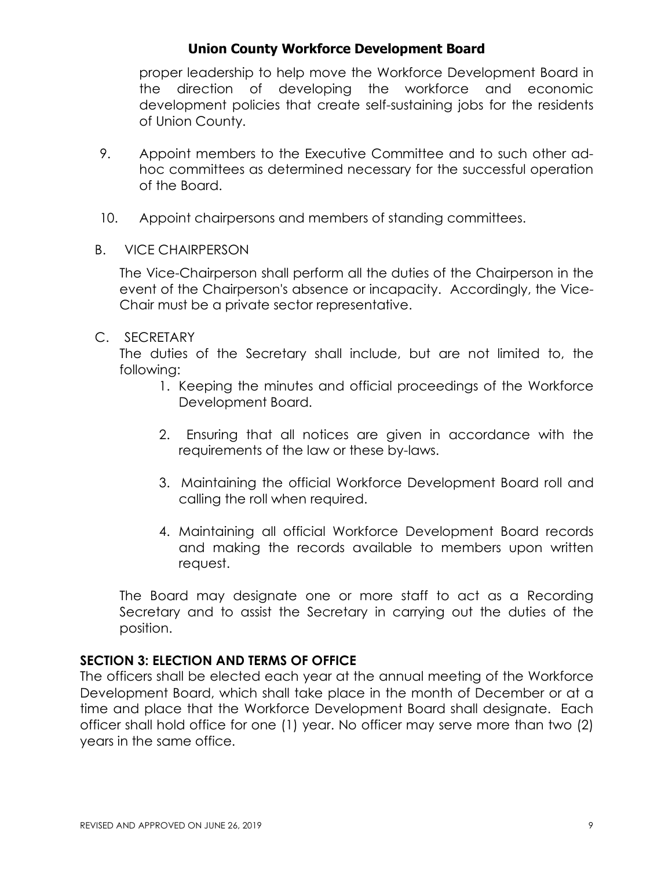proper leadership to help move the Workforce Development Board in the direction of developing the workforce and economic development policies that create self-sustaining jobs for the residents of Union County.

- 9. Appoint members to the Executive Committee and to such other adhoc committees as determined necessary for the successful operation of the Board.
- 10. Appoint chairpersons and members of standing committees.
- B. VICE CHAIRPERSON

The Vice-Chairperson shall perform all the duties of the Chairperson in the event of the Chairperson's absence or incapacity. Accordingly, the Vice-Chair must be a private sector representative.

### C. SECRETARY

The duties of the Secretary shall include, but are not limited to, the following:

- 1. Keeping the minutes and official proceedings of the Workforce Development Board.
- 2. Ensuring that all notices are given in accordance with the requirements of the law or these by-laws.
- 3. Maintaining the official Workforce Development Board roll and calling the roll when required.
- 4. Maintaining all official Workforce Development Board records and making the records available to members upon written request.

The Board may designate one or more staff to act as a Recording Secretary and to assist the Secretary in carrying out the duties of the position.

## **SECTION 3: ELECTION AND TERMS OF OFFICE**

The officers shall be elected each year at the annual meeting of the Workforce Development Board, which shall take place in the month of December or at a time and place that the Workforce Development Board shall designate. Each officer shall hold office for one (1) year. No officer may serve more than two (2) years in the same office.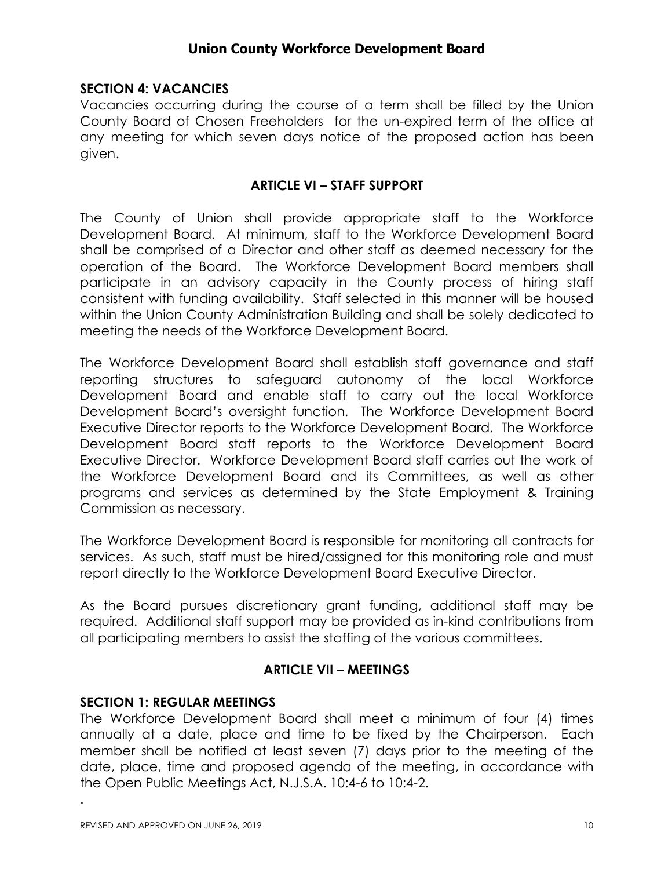## **SECTION 4: VACANCIES**

Vacancies occurring during the course of a term shall be filled by the Union County Board of Chosen Freeholders for the un-expired term of the office at any meeting for which seven days notice of the proposed action has been given.

### **ARTICLE VI – STAFF SUPPORT**

The County of Union shall provide appropriate staff to the Workforce Development Board. At minimum, staff to the Workforce Development Board shall be comprised of a Director and other staff as deemed necessary for the operation of the Board. The Workforce Development Board members shall participate in an advisory capacity in the County process of hiring staff consistent with funding availability. Staff selected in this manner will be housed within the Union County Administration Building and shall be solely dedicated to meeting the needs of the Workforce Development Board.

The Workforce Development Board shall establish staff governance and staff reporting structures to safeguard autonomy of the local Workforce Development Board and enable staff to carry out the local Workforce Development Board's oversight function. The Workforce Development Board Executive Director reports to the Workforce Development Board. The Workforce Development Board staff reports to the Workforce Development Board Executive Director. Workforce Development Board staff carries out the work of the Workforce Development Board and its Committees, as well as other programs and services as determined by the State Employment & Training Commission as necessary.

The Workforce Development Board is responsible for monitoring all contracts for services. As such, staff must be hired/assigned for this monitoring role and must report directly to the Workforce Development Board Executive Director.

As the Board pursues discretionary grant funding, additional staff may be required. Additional staff support may be provided as in-kind contributions from all participating members to assist the staffing of the various committees.

#### **ARTICLE VII – MEETINGS**

#### **SECTION 1: REGULAR MEETINGS**

The Workforce Development Board shall meet a minimum of four (4) times annually at a date, place and time to be fixed by the Chairperson. Each member shall be notified at least seven (7) days prior to the meeting of the date, place, time and proposed agenda of the meeting, in accordance with the Open Public Meetings Act, N.J.S.A. 10:4-6 to 10:4-2.

.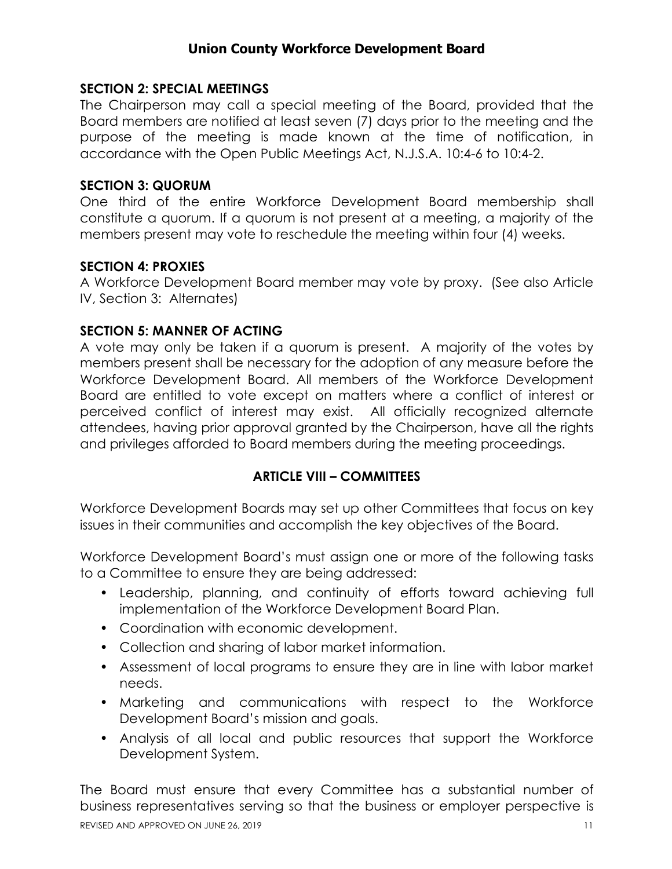### **SECTION 2: SPECIAL MEETINGS**

The Chairperson may call a special meeting of the Board, provided that the Board members are notified at least seven (7) days prior to the meeting and the purpose of the meeting is made known at the time of notification, in accordance with the Open Public Meetings Act, N.J.S.A. 10:4-6 to 10:4-2.

#### **SECTION 3: QUORUM**

One third of the entire Workforce Development Board membership shall constitute a quorum. If a quorum is not present at a meeting, a majority of the members present may vote to reschedule the meeting within four (4) weeks.

## **SECTION 4: PROXIES**

A Workforce Development Board member may vote by proxy. (See also Article IV, Section 3: Alternates)

### **SECTION 5: MANNER OF ACTING**

A vote may only be taken if a quorum is present. A majority of the votes by members present shall be necessary for the adoption of any measure before the Workforce Development Board. All members of the Workforce Development Board are entitled to vote except on matters where a conflict of interest or perceived conflict of interest may exist. All officially recognized alternate attendees, having prior approval granted by the Chairperson, have all the rights and privileges afforded to Board members during the meeting proceedings.

## **ARTICLE VIII – COMMITTEES**

Workforce Development Boards may set up other Committees that focus on key issues in their communities and accomplish the key objectives of the Board.

Workforce Development Board's must assign one or more of the following tasks to a Committee to ensure they are being addressed:

- Leadership, planning, and continuity of efforts toward achieving full implementation of the Workforce Development Board Plan.
- Coordination with economic development.
- Collection and sharing of labor market information.
- Assessment of local programs to ensure they are in line with labor market needs.
- Marketing and communications with respect to the Workforce Development Board's mission and goals.
- Analysis of all local and public resources that support the Workforce Development System.

The Board must ensure that every Committee has a substantial number of business representatives serving so that the business or employer perspective is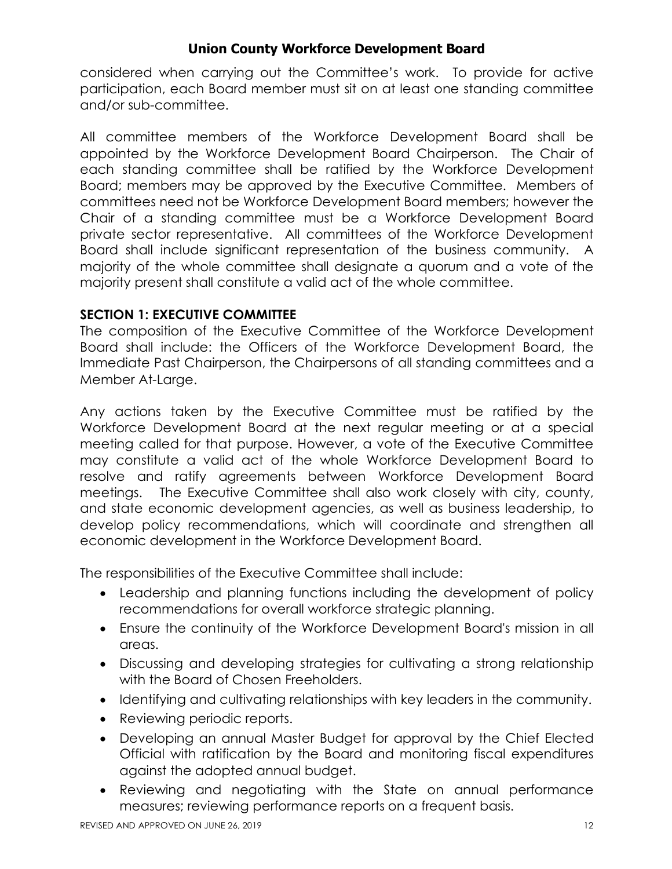considered when carrying out the Committee's work. To provide for active participation, each Board member must sit on at least one standing committee and/or sub-committee.

All committee members of the Workforce Development Board shall be appointed by the Workforce Development Board Chairperson. The Chair of each standing committee shall be ratified by the Workforce Development Board; members may be approved by the Executive Committee. Members of committees need not be Workforce Development Board members; however the Chair of a standing committee must be a Workforce Development Board private sector representative. All committees of the Workforce Development Board shall include significant representation of the business community. A majority of the whole committee shall designate a quorum and a vote of the majority present shall constitute a valid act of the whole committee.

## **SECTION 1: EXECUTIVE COMMITTEE**

The composition of the Executive Committee of the Workforce Development Board shall include: the Officers of the Workforce Development Board, the Immediate Past Chairperson, the Chairpersons of all standing committees and a Member At-Large.

Any actions taken by the Executive Committee must be ratified by the Workforce Development Board at the next regular meeting or at a special meeting called for that purpose. However, a vote of the Executive Committee may constitute a valid act of the whole Workforce Development Board to resolve and ratify agreements between Workforce Development Board meetings. The Executive Committee shall also work closely with city, county, and state economic development agencies, as well as business leadership, to develop policy recommendations, which will coordinate and strengthen all economic development in the Workforce Development Board.

The responsibilities of the Executive Committee shall include:

- Leadership and planning functions including the development of policy recommendations for overall workforce strategic planning.
- Ensure the continuity of the Workforce Development Board's mission in all areas.
- Discussing and developing strategies for cultivating a strong relationship with the Board of Chosen Freeholders.
- Identifying and cultivating relationships with key leaders in the community.
- Reviewing periodic reports.
- Developing an annual Master Budget for approval by the Chief Elected Official with ratification by the Board and monitoring fiscal expenditures against the adopted annual budget.
- Reviewing and negotiating with the State on annual performance measures; reviewing performance reports on a frequent basis.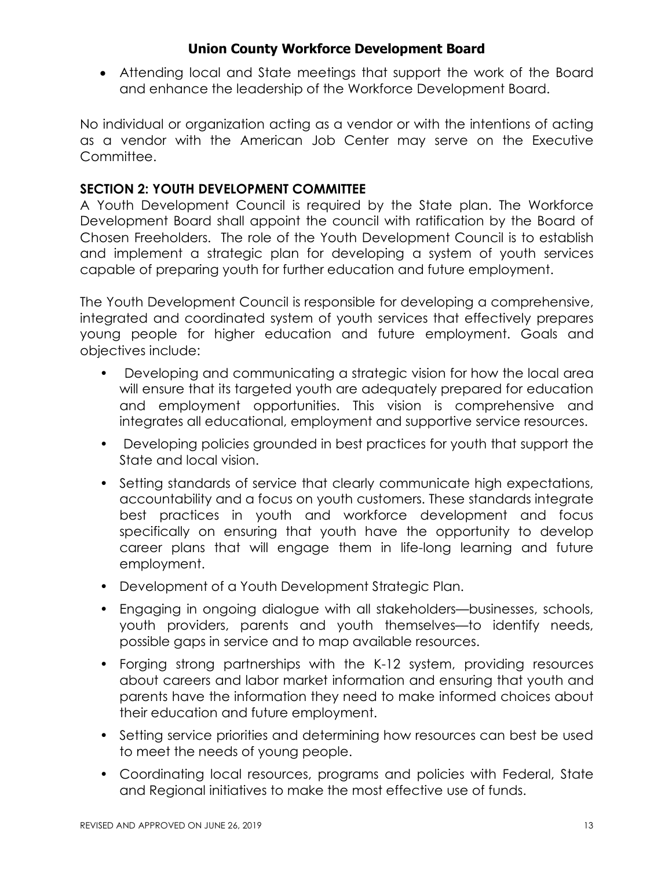• Attending local and State meetings that support the work of the Board and enhance the leadership of the Workforce Development Board.

No individual or organization acting as a vendor or with the intentions of acting as a vendor with the American Job Center may serve on the Executive Committee.

# **SECTION 2: YOUTH DEVELOPMENT COMMITTEE**

A Youth Development Council is required by the State plan. The Workforce Development Board shall appoint the council with ratification by the Board of Chosen Freeholders. The role of the Youth Development Council is to establish and implement a strategic plan for developing a system of youth services capable of preparing youth for further education and future employment.

The Youth Development Council is responsible for developing a comprehensive, integrated and coordinated system of youth services that effectively prepares young people for higher education and future employment. Goals and objectives include:

- Developing and communicating a strategic vision for how the local area will ensure that its targeted youth are adequately prepared for education and employment opportunities. This vision is comprehensive and integrates all educational, employment and supportive service resources.
- Developing policies grounded in best practices for youth that support the State and local vision.
- Setting standards of service that clearly communicate high expectations, accountability and a focus on youth customers. These standards integrate best practices in youth and workforce development and focus specifically on ensuring that youth have the opportunity to develop career plans that will engage them in life-long learning and future employment.
- Development of a Youth Development Strategic Plan.
- Engaging in ongoing dialogue with all stakeholders—businesses, schools, youth providers, parents and youth themselves—to identify needs, possible gaps in service and to map available resources.
- Forging strong partnerships with the K-12 system, providing resources about careers and labor market information and ensuring that youth and parents have the information they need to make informed choices about their education and future employment.
- Setting service priorities and determining how resources can best be used to meet the needs of young people.
- Coordinating local resources, programs and policies with Federal, State and Regional initiatives to make the most effective use of funds.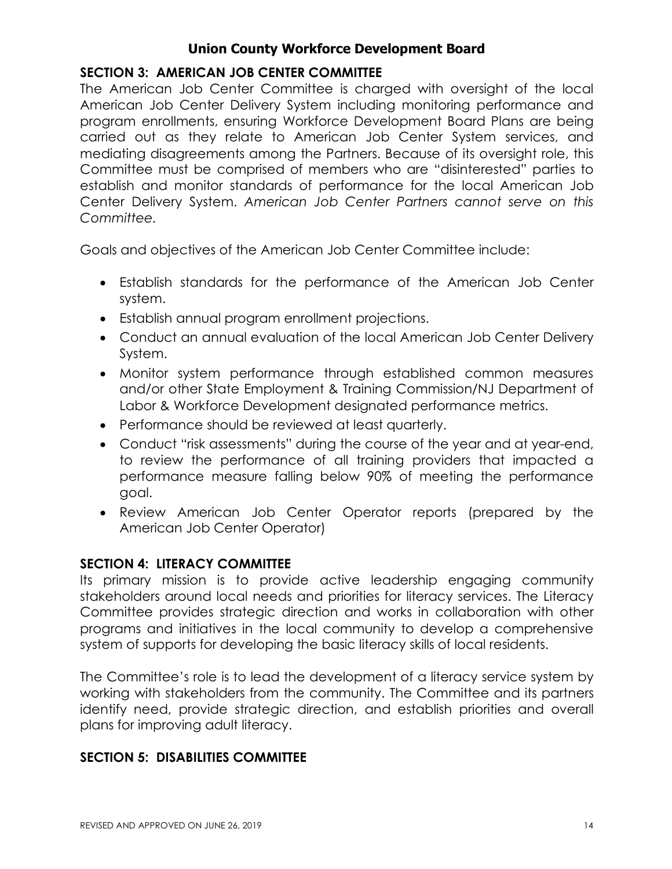# **SECTION 3: AMERICAN JOB CENTER COMMITTEE**

The American Job Center Committee is charged with oversight of the local American Job Center Delivery System including monitoring performance and program enrollments, ensuring Workforce Development Board Plans are being carried out as they relate to American Job Center System services, and mediating disagreements among the Partners. Because of its oversight role, this Committee must be comprised of members who are "disinterested" parties to establish and monitor standards of performance for the local American Job Center Delivery System. *American Job Center Partners cannot serve on this Committee.*

Goals and objectives of the American Job Center Committee include:

- Establish standards for the performance of the American Job Center system.
- Establish annual program enrollment projections.
- Conduct an annual evaluation of the local American Job Center Delivery System.
- Monitor system performance through established common measures and/or other State Employment & Training Commission/NJ Department of Labor & Workforce Development designated performance metrics.
- Performance should be reviewed at least quarterly.
- Conduct "risk assessments" during the course of the year and at year-end, to review the performance of all training providers that impacted a performance measure falling below 90% of meeting the performance goal.
- Review American Job Center Operator reports (prepared by the American Job Center Operator)

## **SECTION 4: LITERACY COMMITTEE**

Its primary mission is to provide active leadership engaging community stakeholders around local needs and priorities for literacy services. The Literacy Committee provides strategic direction and works in collaboration with other programs and initiatives in the local community to develop a comprehensive system of supports for developing the basic literacy skills of local residents.

The Committee's role is to lead the development of a literacy service system by working with stakeholders from the community. The Committee and its partners identify need, provide strategic direction, and establish priorities and overall plans for improving adult literacy.

## **SECTION 5: DISABILITIES COMMITTEE**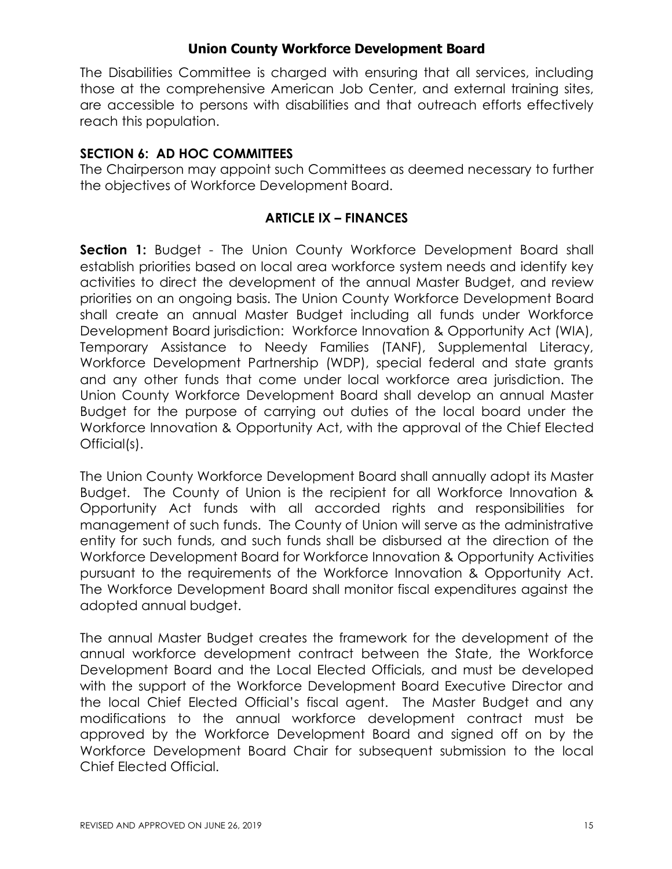The Disabilities Committee is charged with ensuring that all services, including those at the comprehensive American Job Center, and external training sites, are accessible to persons with disabilities and that outreach efforts effectively reach this population.

#### **SECTION 6: AD HOC COMMITTEES**

The Chairperson may appoint such Committees as deemed necessary to further the objectives of Workforce Development Board.

### **ARTICLE IX – FINANCES**

**Section 1:** Budget - The Union County Workforce Development Board shall establish priorities based on local area workforce system needs and identify key activities to direct the development of the annual Master Budget, and review priorities on an ongoing basis. The Union County Workforce Development Board shall create an annual Master Budget including all funds under Workforce Development Board jurisdiction: Workforce Innovation & Opportunity Act (WIA), Temporary Assistance to Needy Families (TANF), Supplemental Literacy, Workforce Development Partnership (WDP), special federal and state grants and any other funds that come under local workforce area jurisdiction. The Union County Workforce Development Board shall develop an annual Master Budget for the purpose of carrying out duties of the local board under the Workforce Innovation & Opportunity Act, with the approval of the Chief Elected Official(s).

The Union County Workforce Development Board shall annually adopt its Master Budget. The County of Union is the recipient for all Workforce Innovation & Opportunity Act funds with all accorded rights and responsibilities for management of such funds. The County of Union will serve as the administrative entity for such funds, and such funds shall be disbursed at the direction of the Workforce Development Board for Workforce Innovation & Opportunity Activities pursuant to the requirements of the Workforce Innovation & Opportunity Act. The Workforce Development Board shall monitor fiscal expenditures against the adopted annual budget.

The annual Master Budget creates the framework for the development of the annual workforce development contract between the State, the Workforce Development Board and the Local Elected Officials, and must be developed with the support of the Workforce Development Board Executive Director and the local Chief Elected Official's fiscal agent. The Master Budget and any modifications to the annual workforce development contract must be approved by the Workforce Development Board and signed off on by the Workforce Development Board Chair for subsequent submission to the local Chief Elected Official.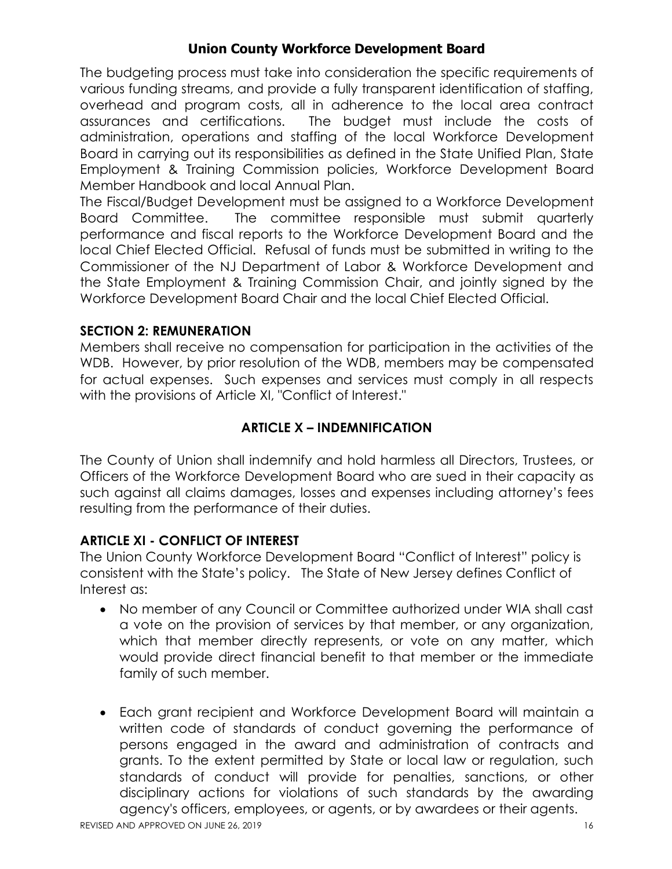The budgeting process must take into consideration the specific requirements of various funding streams, and provide a fully transparent identification of staffing, overhead and program costs, all in adherence to the local area contract assurances and certifications. The budget must include the costs of administration, operations and staffing of the local Workforce Development Board in carrying out its responsibilities as defined in the State Unified Plan, State Employment & Training Commission policies, Workforce Development Board Member Handbook and local Annual Plan.

The Fiscal/Budget Development must be assigned to a Workforce Development Board Committee. The committee responsible must submit quarterly performance and fiscal reports to the Workforce Development Board and the local Chief Elected Official. Refusal of funds must be submitted in writing to the Commissioner of the NJ Department of Labor & Workforce Development and the State Employment & Training Commission Chair, and jointly signed by the Workforce Development Board Chair and the local Chief Elected Official.

### **SECTION 2: REMUNERATION**

Members shall receive no compensation for participation in the activities of the WDB. However, by prior resolution of the WDB, members may be compensated for actual expenses. Such expenses and services must comply in all respects with the provisions of Article XI, "Conflict of Interest."

# **ARTICLE X – INDEMNIFICATION**

The County of Union shall indemnify and hold harmless all Directors, Trustees, or Officers of the Workforce Development Board who are sued in their capacity as such against all claims damages, losses and expenses including attorney's fees resulting from the performance of their duties.

## **ARTICLE XI - CONFLICT OF INTEREST**

The Union County Workforce Development Board "Conflict of Interest" policy is consistent with the State's policy. The State of New Jersey defines Conflict of Interest as:

- No member of any Council or Committee authorized under WIA shall cast a vote on the provision of services by that member, or any organization, which that member directly represents, or vote on any matter, which would provide direct financial benefit to that member or the immediate family of such member.
- Each grant recipient and Workforce Development Board will maintain a written code of standards of conduct governing the performance of persons engaged in the award and administration of contracts and grants. To the extent permitted by State or local law or regulation, such standards of conduct will provide for penalties, sanctions, or other disciplinary actions for violations of such standards by the awarding agency's officers, employees, or agents, or by awardees or their agents.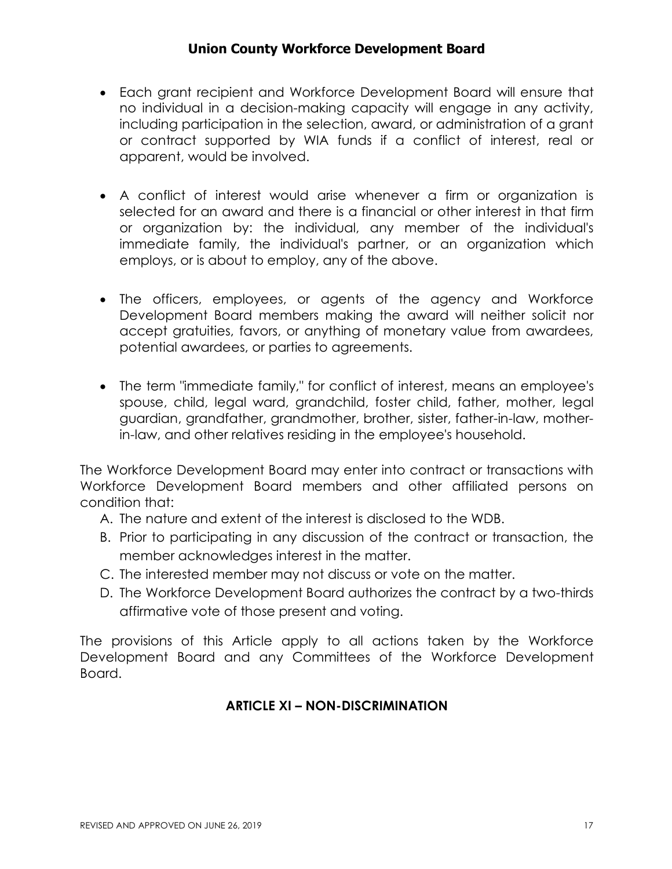- Each grant recipient and Workforce Development Board will ensure that no individual in a decision-making capacity will engage in any activity, including participation in the selection, award, or administration of a grant or contract supported by WIA funds if a conflict of interest, real or apparent, would be involved.
- A conflict of interest would arise whenever a firm or organization is selected for an award and there is a financial or other interest in that firm or organization by: the individual, any member of the individual's immediate family, the individual's partner, or an organization which employs, or is about to employ, any of the above.
- The officers, employees, or agents of the agency and Workforce Development Board members making the award will neither solicit nor accept gratuities, favors, or anything of monetary value from awardees, potential awardees, or parties to agreements.
- The term "immediate family," for conflict of interest, means an employee's spouse, child, legal ward, grandchild, foster child, father, mother, legal guardian, grandfather, grandmother, brother, sister, father-in-law, motherin-law, and other relatives residing in the employee's household.

The Workforce Development Board may enter into contract or transactions with Workforce Development Board members and other affiliated persons on condition that:

- A. The nature and extent of the interest is disclosed to the WDB.
- B. Prior to participating in any discussion of the contract or transaction, the member acknowledges interest in the matter.
- C. The interested member may not discuss or vote on the matter.
- D. The Workforce Development Board authorizes the contract by a two-thirds affirmative vote of those present and voting.

The provisions of this Article apply to all actions taken by the Workforce Development Board and any Committees of the Workforce Development Board.

## **ARTICLE XI – NON-DISCRIMINATION**